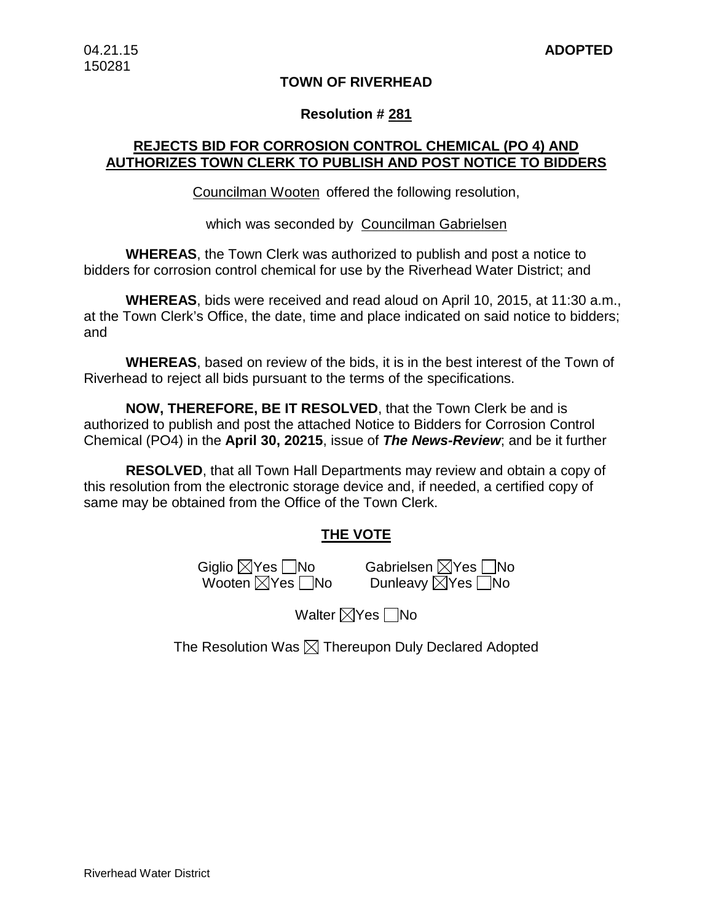### **TOWN OF RIVERHEAD**

### **Resolution # 281**

## **REJECTS BID FOR CORROSION CONTROL CHEMICAL (PO 4) AND AUTHORIZES TOWN CLERK TO PUBLISH AND POST NOTICE TO BIDDERS**

Councilman Wooten offered the following resolution,

which was seconded by Councilman Gabrielsen

**WHEREAS**, the Town Clerk was authorized to publish and post a notice to bidders for corrosion control chemical for use by the Riverhead Water District; and

**WHEREAS**, bids were received and read aloud on April 10, 2015, at 11:30 a.m., at the Town Clerk's Office, the date, time and place indicated on said notice to bidders; and

**WHEREAS**, based on review of the bids, it is in the best interest of the Town of Riverhead to reject all bids pursuant to the terms of the specifications.

**NOW, THEREFORE, BE IT RESOLVED**, that the Town Clerk be and is authorized to publish and post the attached Notice to Bidders for Corrosion Control Chemical (PO4) in the **April 30, 20215**, issue of *The News-Review*; and be it further

**RESOLVED**, that all Town Hall Departments may review and obtain a copy of this resolution from the electronic storage device and, if needed, a certified copy of same may be obtained from the Office of the Town Clerk.

## **THE VOTE**

Wooten  $\boxtimes$ Yes  $\Box$ No

Giglio ⊠Yes No Gabrielsen ⊠Yes No<br>Mooten ⊠Yes No Dunleavy ⊠Yes No

Walter  $\nabla$ Yes  $\nabla$ No

The Resolution Was  $\boxtimes$  Thereupon Duly Declared Adopted